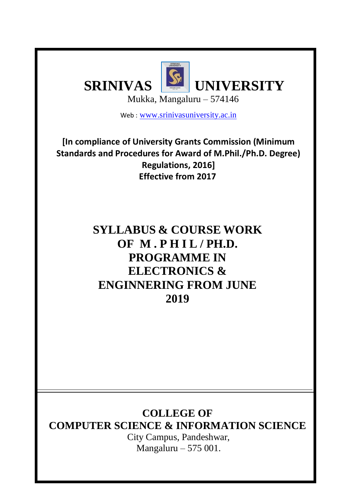

Web : [www.srinivasuniversity.ac.in](http://www.srinivasuniversity.ac.in/)

**[In compliance of University Grants Commission (Minimum Standards and Procedures for Award of M.Phil./Ph.D. Degree) Regulations, 2016] Effective from 2017**

> **SYLLABUS & COURSE WORK OF M . P H I L / PH.D. PROGRAMME IN ELECTRONICS & ENGINNERING FROM JUNE 2019**

# **COLLEGE OF**

**COMPUTER SCIENCE & INFORMATION SCIENCE**

City Campus, Pandeshwar, Mangaluru – 575 001.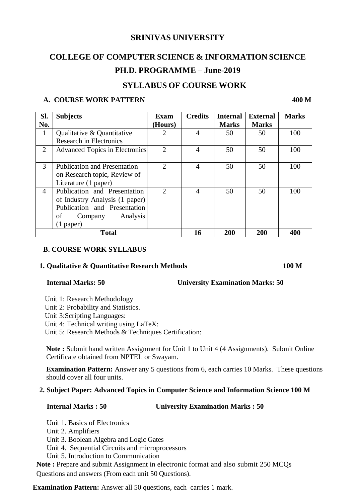## **SRINIVAS UNIVERSITY**

# **COLLEGE OF COMPUTER SCIENCE & INFORMATION SCIENCE PH.D. PROGRAMME – June-2019**

# **SYLLABUS OF COURSE WORK**

## **A. COURSE WORK PATTERN 400 M**

| Sl.            | <b>Subjects</b>                       | Exam                        | <b>Credits</b> | <b>Internal</b> | <b>External</b> | <b>Marks</b> |
|----------------|---------------------------------------|-----------------------------|----------------|-----------------|-----------------|--------------|
| No.            |                                       | (Hours)                     |                | <b>Marks</b>    | <b>Marks</b>    |              |
| $\mathbf{1}$   | <b>Oualitative &amp; Quantitative</b> | 2                           | 4              | 50              | 50              | 100          |
|                | <b>Research in Electronics</b>        |                             |                |                 |                 |              |
| 2              | <b>Advanced Topics in Electronics</b> | $\mathcal{D}_{\mathcal{L}}$ | 4              | 50              | 50              | 100          |
|                |                                       |                             |                |                 |                 |              |
| 3              | <b>Publication and Presentation</b>   | $\overline{2}$              | 4              | 50              | 50              | 100          |
|                | on Research topic, Review of          |                             |                |                 |                 |              |
|                | Literature (1 paper)                  |                             |                |                 |                 |              |
| $\overline{4}$ | Publication and Presentation          | $\mathcal{D}$               | $\overline{4}$ | 50              | 50              | 100          |
|                | of Industry Analysis (1 paper)        |                             |                |                 |                 |              |
|                | Publication and Presentation          |                             |                |                 |                 |              |
|                | Analysis<br>οf<br>Company             |                             |                |                 |                 |              |
|                | $(1$ paper)                           |                             |                |                 |                 |              |
| <b>Total</b>   |                                       |                             | 16             | 200             | 200             | 400          |

### **B. COURSE WORK SYLLABUS**

### **1. Qualitative & Quantitative Research Methods 100 M**

### **Internal Marks: 50 University Examination Marks: 50**

- Unit 1: Research Methodology
- Unit 2: Probability and Statistics.
- Unit 3:Scripting Languages:
- Unit 4: Technical writing using LaTeX:

Unit 5: Research Methods & Techniques Certification:

**Note :** Submit hand written Assignment for Unit 1 to Unit 4 (4 Assignments). Submit Online Certificate obtained from NPTEL or Swayam.

**Examination Pattern:** Answer any 5 questions from 6, each carries 10 Marks. These questions should cover all four units.

### **2. Subject Paper: Advanced Topics in Computer Science and Information Science 100 M**

### **Internal Marks : 50 University Examination Marks : 50**

Unit 1. Basics of Electronics

Unit 2. Amplifiers

Unit 3. Boolean Algebra and Logic Gates

Unit 4. Sequential Circuits and microprocessors

Unit 5. Introduction to Communication

**Note :** Prepare and submit Assignment in electronic format and also submit 250 MCQs Questions and answers (From each unit 50 Questions).

**Examination Pattern:** Answer all 50 questions, each carries 1 mark.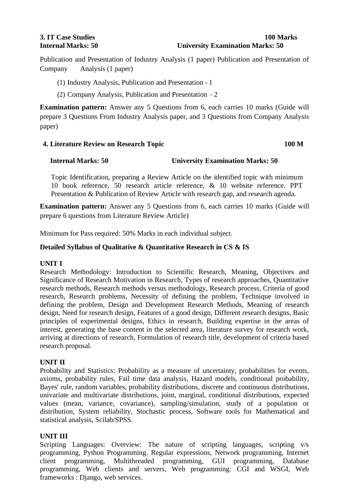#### **3. IT Case Studies 100 Marks Internal Marks: 50 University Examination Marks: 50**

Publication and Presentation of Industry Analysis (1 paper) Publication and Presentation of Company Analysis (1 paper)

- (1) Industry Analysis, Publication and Presentation 1
- (2) Company Analysis, Publication and Presentation  $-2$

**Examination pattern:** Answer any 5 Questions from 6, each carries 10 marks (Guide will prepare 3 Questions From Industry Analysis paper, and 3 Questions from Company Analysis paper)

#### **4. Literature Review on Research Topic 100 M**

### **Internal Marks: 50 University Examination Marks: 50**

Topic Identification, preparing a Review Article on the identified topic with minimum 10 book reference, 50 research article reference, & 10 website reference. PPT Presentation & Publication of Review Article with research gap, and research agenda.

**Examination pattern:** Answer any 5 Questions from 6, each carries 10 marks (Guide will prepare 6 questions from Literature Review Article)

Minimum for Pass required: 50% Marks in each individual subject.

### **Detailed Syllabus of Qualitative & Quantitative Research in CS & IS**

### **UNIT I**

Research Methodology: Introduction to Scientific Research, Meaning, Objectives and Significance of Research Motivation in Research, Types of research approaches, Quantitative research methods, Research methods versus methodology, Research process, Criteria of good research, Research problems, Necessity of defining the problem, Technique involved in defining the problem, Design and Development Research Methods, Meaning of research design, Need for research design, Features of a good design, Different research designs, Basic principles of experimental designs, Ethics in research, Building expertise in the areas of interest, generating the base content in the selected area, literature survey for research work, arriving at directions of research, Formulation of research title, development of criteria based research proposal.

### **UNIT II**

Probability and Statistics: Probability as a measure of uncertainty, probabilities for events, axioms, probability rules, Fail time data analysis, Hazard models, conditional probability, Bayes' rule, random variables, probability distributions, discrete and continuous distributions, univariate and multivariate distributions, joint, marginal, conditional distributions, expected values (mean, variance, covariance), sampling/simulation, study of a population or distribution, System reliability, Stochastic process, Software tools for Mathematical and statistical analysis, Scilab/SPSS.

### **UNIT III**

Scripting Languages: Overview: The nature of scripting languages, scripting v/s programming, Python Programming. Regular expressions, Network programming, Internet client programming, Multithreaded programming, GUI programming, Database programming, Web clients and servers, Web programming: CGI and WSGI, Web frameworks : Django, web services.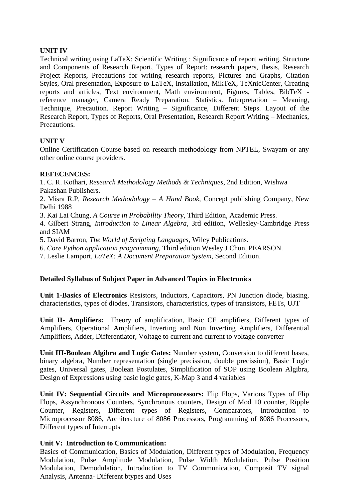### **UNIT IV**

Technical writing using LaTeX: Scientific Writing : Significance of report writing, Structure and Components of Research Report, Types of Report: research papers, thesis, Research Project Reports, Precautions for writing research reports, Pictures and Graphs, Citation Styles, Oral presentation, Exposure to LaTeX, Installation, MikTeX, TeXnicCenter, Creating reports and articles, Text environment, Math environment, Figures, Tables, BibTeX reference manager, Camera Ready Preparation. Statistics. Interpretation – Meaning, Technique, Precaution. Report Writing – Significance, Different Steps. Layout of the Research Report, Types of Reports, Oral Presentation, Research Report Writing – Mechanics, **Precautions** 

### **UNIT V**

Online Certification Course based on research methodology from NPTEL, Swayam or any other online course providers.

### **REFECENCES:**

1. C. R. Kothari, *Research Methodology Methods & Techniques*, 2nd Edition, Wishwa Pakashan Publishers.

2. Misra R.P, *Research Methodology – A Hand Book*, Concept publishing Company, New Delhi 1988

3. Kai Lai Chung, *A Course in Probability Theory*, Third Edition, Academic Press.

4. Gilbert Strang*, Introduction to Linear Algebra*, 3rd edition, Wellesley-Cambridge Press and SIAM

5. David Barron, *The World of Scripting Languages*, Wiley Publications.

6. *Core Python application programming*, Third edition Wesley J Chun, PEARSON.

7. Leslie Lamport, *LaTeX: A Document Preparation System*, Second Edition.

### **Detailed Syllabus of Subject Paper in Advanced Topics in Electronics**

**Unit 1-Basics of Electronics** Resistors, Inductors, Capacitors, PN Junction diode, biasing, characteristics, types of diodes, Transistors, characteristics, types of transistors, FETs, UJT

**Unit II- Amplifiers:** Theory of amplification, Basic CE amplifiers, Different types of Amplifiers, Operational Amplifiers, Inverting and Non Inverting Amplifiers, Differential Amplifiers, Adder, Differentiator, Voltage to current and current to voltage converter

**Unit III-Boolean Algibra and Logic Gates:** Number system, Conversion to different bases, binary algebra, Number representation (single precission, double precission), Basic Logic gates, Universal gates, Boolean Postulates, Simplification of SOP using Boolean Algibra, Design of Expressions using basic logic gates, K-Map 3 and 4 variables

**Unit IV: Sequential Circuits and Microproocessors:** Flip Flops, Various Types of Flip Flops, Assynchronous Counters, Synchronous counters, Design of Mod 10 counter, Ripple Counter, Registers, Different types of Registers, Comparators, Introduction to Microprocessor 8086, Architercture of 8086 Processors, Programming of 8086 Processors, Different types of Interrupts

### **Unit V: Introduction to Communication:**

Basics of Communication, Basics of Modulation, Different types of Modulation, Frequency Modulation, Pulse Amplitude Modulation, Pulse Width Modulation, Pulse Position Modulation, Demodulation, Introduction to TV Communication, Composit TV signal Analysis, Antenna- Different btypes and Uses